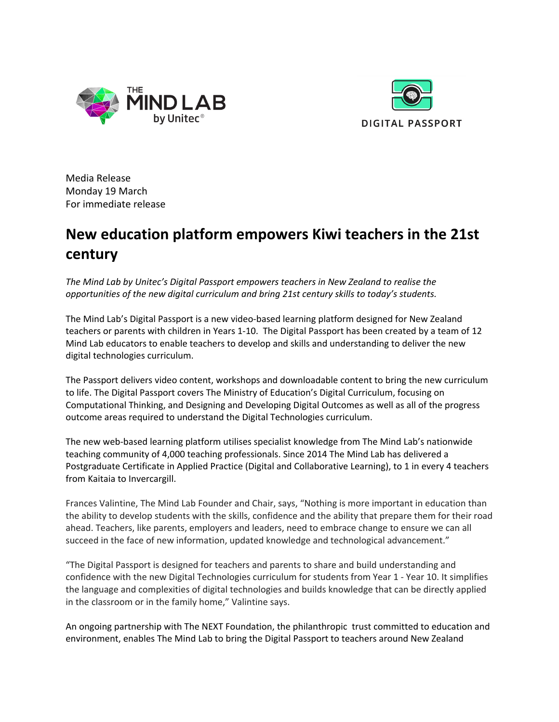



Media Release Monday 19 March For immediate release

## **New education platform empowers Kiwi teachers in the 21st century**

*The Mind Lab by Unitec's Digital Passport empowers teachers in New Zealand to realise the opportunities of the new digital curriculum and bring 21st century skills to today's students.*

The Mind Lab's Digital Passport is a new video-based learning platform designed for New Zealand teachers or parents with children in Years 1-10. The Digital Passport has been created by a team of 12 Mind Lab educators to enable teachers to develop and skills and understanding to deliver the new digital technologies curriculum.

The Passport delivers video content, workshops and downloadable content to bring the new curriculum to life. The Digital Passport covers The Ministry of Education's Digital Curriculum, focusing on Computational Thinking, and Designing and Developing Digital Outcomes as well as all of the progress outcome areas required to understand the Digital Technologies curriculum.

The new web-based learning platform utilises specialist knowledge from The Mind Lab's nationwide teaching community of 4,000 teaching professionals. Since 2014 The Mind Lab has delivered a Postgraduate Certificate in Applied Practice (Digital and Collaborative Learning), to 1 in every 4 teachers from Kaitaia to Invercargill.

Frances Valintine, The Mind Lab Founder and Chair, says, "Nothing is more important in education than the ability to develop students with the skills, confidence and the ability that prepare them for their road ahead. Teachers, like parents, employers and leaders, need to embrace change to ensure we can all succeed in the face of new information, updated knowledge and technological advancement."

"The Digital Passport is designed for teachers and parents to share and build understanding and confidence with the new Digital Technologies curriculum for students from Year 1 - Year 10. It simplifies the language and complexities of digital technologies and builds knowledge that can be directly applied in the classroom or in the family home," Valintine says.

An ongoing partnership with The NEXT Foundation, the philanthropic trust committed to education and environment, enables The Mind Lab to bring the Digital Passport to teachers around New Zealand